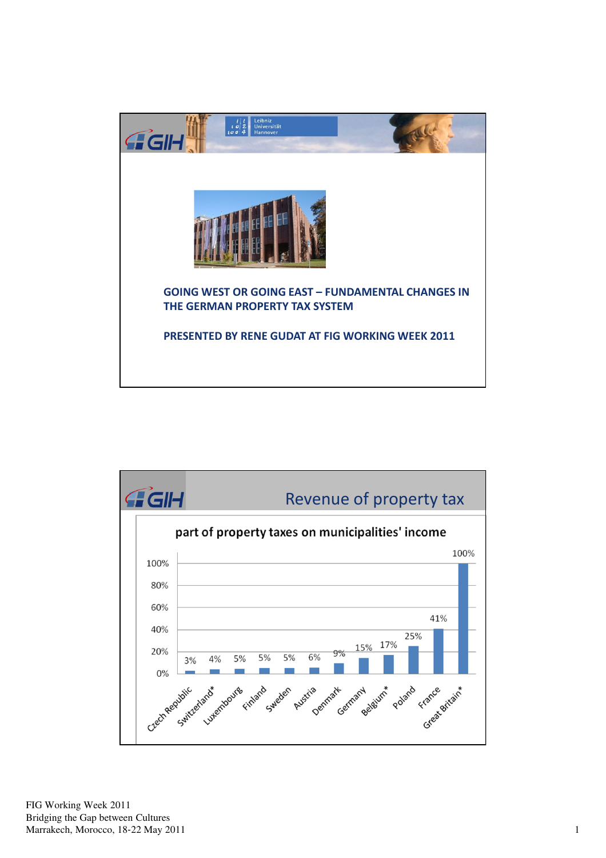



FIG Working Week 2011 Bridging the Gap between Cultures Marrakech, Morocco, 18-22 May 2011 1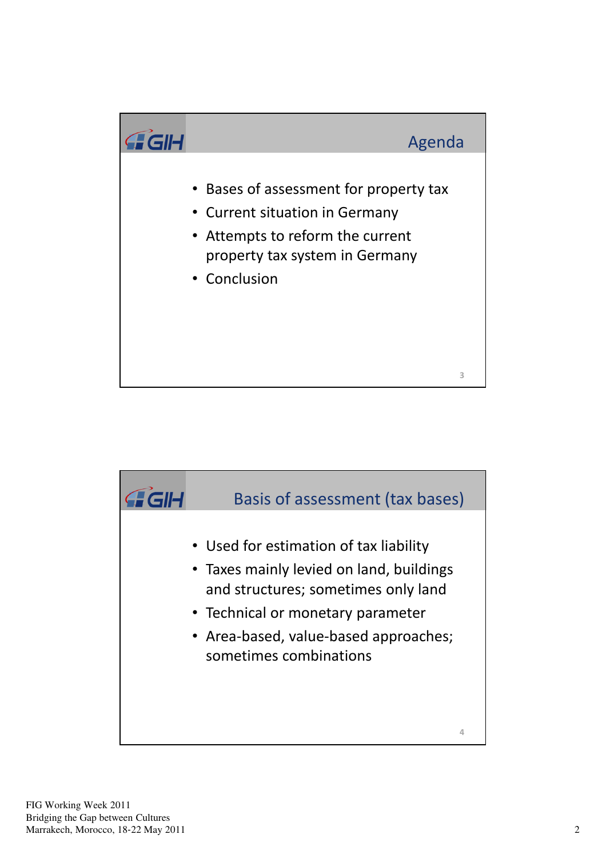

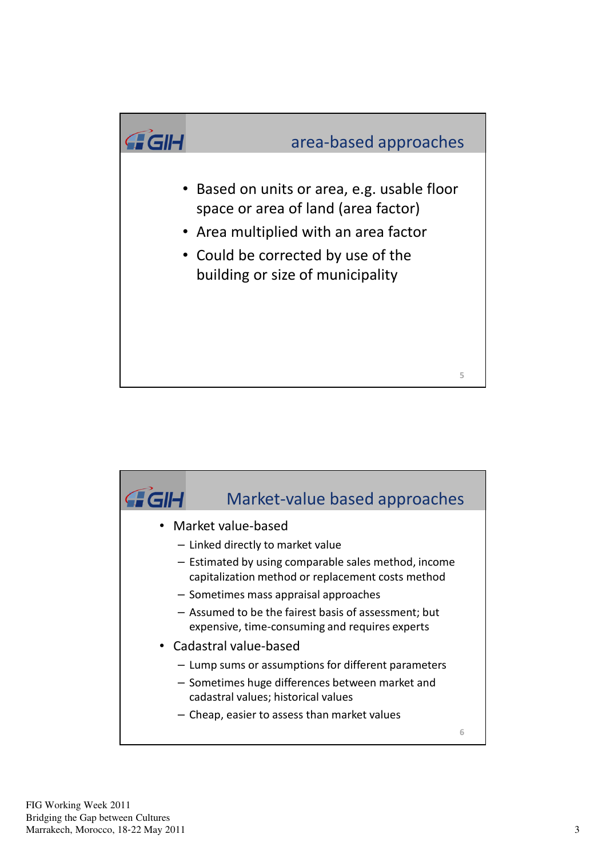

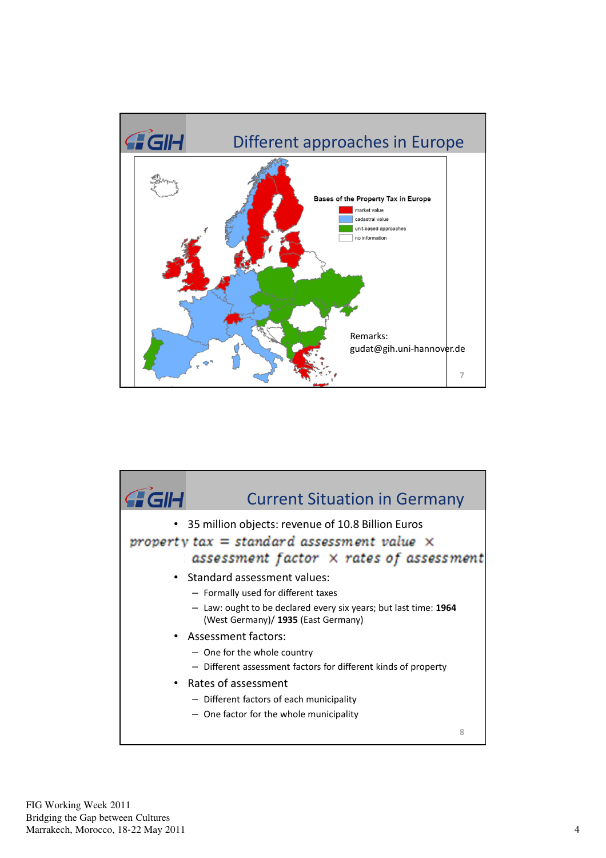

| <b>GIH</b> | <b>Current Situation in Germany</b>                                                                                                                                             |   |
|------------|---------------------------------------------------------------------------------------------------------------------------------------------------------------------------------|---|
|            | • 35 million objects: revenue of 10.8 Billion Euros<br>property $tax = standard$ assessment value $\times$<br>assessment factor × rates of assessment                           |   |
|            | • Standard assessment values:<br>- Formally used for different taxes<br>- Law: ought to be declared every six years; but last time: 1964<br>(West Germany)/ 1935 (East Germany) |   |
|            | • Assessment factors:<br>- One for the whole country<br>- Different assessment factors for different kinds of property                                                          |   |
| $\bullet$  | Rates of assessment<br>- Different factors of each municipality<br>- One factor for the whole municipality                                                                      |   |
|            |                                                                                                                                                                                 | 8 |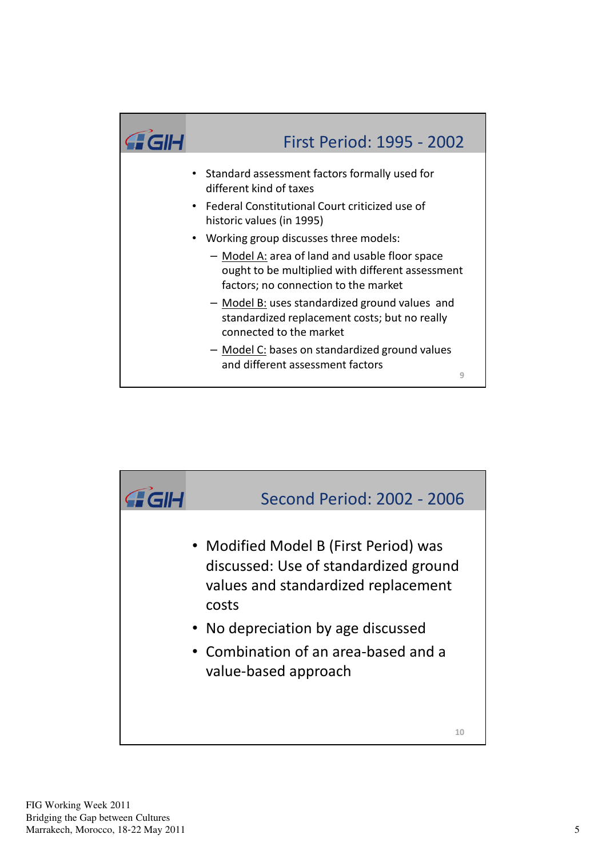